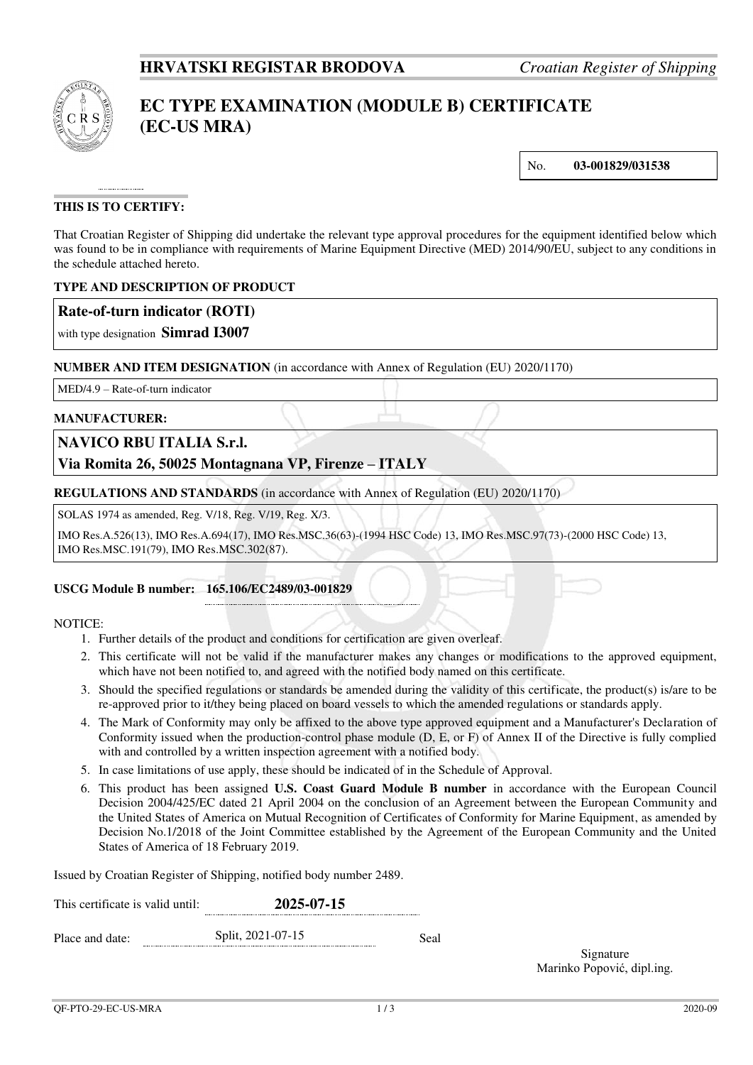

# **EC TYPE EXAMINATION (MODULE B) CERTIFICATE (EC-US MRA)**

No. **03-001829/031538**

## **THIS IS TO CERTIFY:**

That Croatian Register of Shipping did undertake the relevant type approval procedures for the equipment identified below which was found to be in compliance with requirements of Marine Equipment Directive (MED) 2014/90/EU, subject to any conditions in the schedule attached hereto.

#### **TYPE AND DESCRIPTION OF PRODUCT**

### **Rate-of-turn indicator (ROTI)**

with type designation **Simrad I3007**

#### **NUMBER AND ITEM DESIGNATION** (in accordance with Annex of Regulation (EU) 2020/1170)

MED/4.9 – Rate-of-turn indicator

#### **MANUFACTURER:**

## **NAVICO RBU ITALIA S.r.l.**

## **Via Romita 26, 50025 Montagnana VP, Firenze – ITALY**

**REGULATIONS AND STANDARDS** (in accordance with Annex of Regulation (EU) 2020/1170)

SOLAS 1974 as amended, Reg. V/18, Reg. V/19, Reg. X/3.

IMO Res.A.526(13), IMO Res.A.694(17), IMO Res.MSC.36(63)-(1994 HSC Code) 13, IMO Res.MSC.97(73)-(2000 HSC Code) 13, IMO Res.MSC.191(79), IMO Res.MSC.302(87).

#### **USCG Module B number: 165.106/EC2489/03-001829**

#### NOTICE:

- 1. Further details of the product and conditions for certification are given overleaf.
- 2. This certificate will not be valid if the manufacturer makes any changes or modifications to the approved equipment, which have not been notified to, and agreed with the notified body named on this certificate.
- 3. Should the specified regulations or standards be amended during the validity of this certificate, the product(s) is/are to be re-approved prior to it/they being placed on board vessels to which the amended regulations or standards apply.
- 4. The Mark of Conformity may only be affixed to the above type approved equipment and a Manufacturer's Declaration of Conformity issued when the production-control phase module (D, E, or F) of Annex II of the Directive is fully complied with and controlled by a written inspection agreement with a notified body.
- 5. In case limitations of use apply, these should be indicated of in the Schedule of Approval.
- 6. This product has been assigned **U.S. Coast Guard Module B number** in accordance with the European Council Decision 2004/425/EC dated 21 April 2004 on the conclusion of an Agreement between the European Community and the United States of America on Mutual Recognition of Certificates of Conformity for Marine Equipment, as amended by Decision No.1/2018 of the Joint Committee established by the Agreement of the European Community and the United States of America of 18 February 2019.

Issued by Croatian Register of Shipping, notified body number 2489.

| This certificate is valid until: | 2025-07-15        |      |  |  |
|----------------------------------|-------------------|------|--|--|
| Place and date:                  | Split, 2021-07-15 | Seal |  |  |

Signature Marinko Popović, dipl.ing.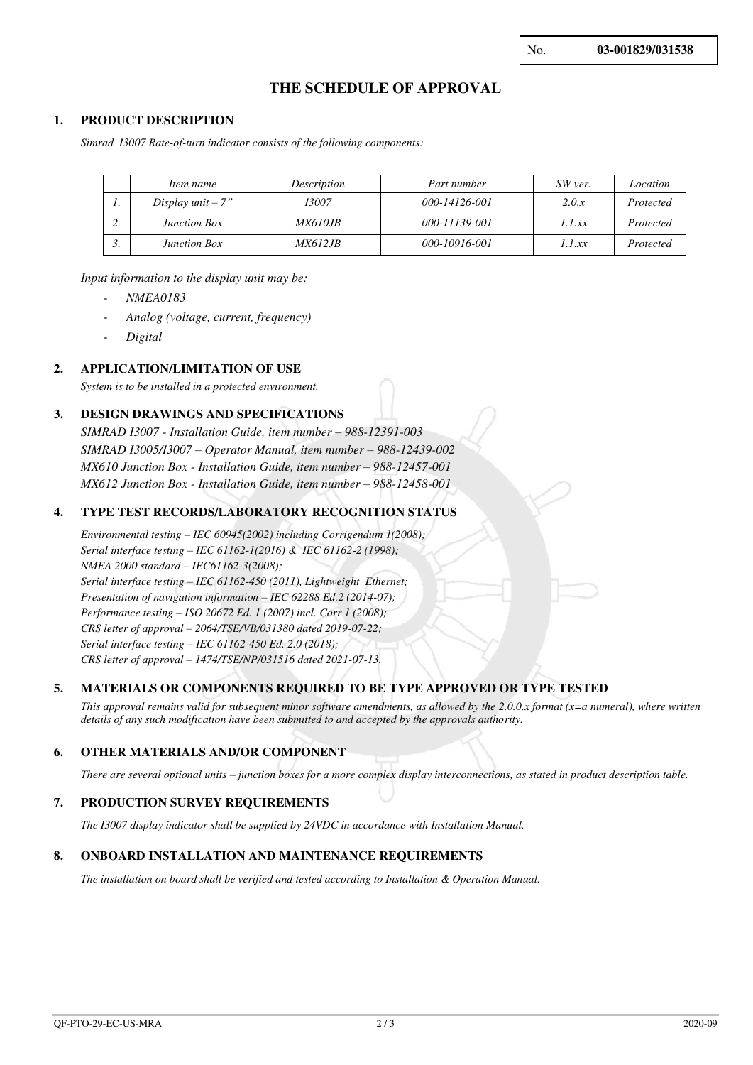## **THE SCHEDULE OF APPROVAL**

#### **1. PRODUCT DESCRIPTION**

*Simrad I3007 Rate-of-turn indicator consists of the following components:* 

|    | Item name           | Description     | Part number   | SW ver. | Location  |
|----|---------------------|-----------------|---------------|---------|-----------|
| ., | Display unit $-7"$  | 13007           | 000-14126-001 | 2.0.x   | Protected |
| ٠. | <b>Junction Box</b> | <i>MX610.IB</i> | 000-11139-001 | 1.1 xx  | Protected |
| J. | <b>Junction Box</b> | <i>MX612.IB</i> | 000-10916-001 | 1.1.xx  | Protected |

*Input information to the display unit may be:* 

- *NMEA0183*
- *Analog (voltage, current, frequency)*
- *Digital*

#### **2. APPLICATION/LIMITATION OF USE**

*System is to be installed in a protected environment.*

#### **3. DESIGN DRAWINGS AND SPECIFICATIONS**

*SIMRAD I3007 - Installation Guide, item number – 988-12391-003 SIMRAD I3005/I3007 – Operator Manual, item number – 988-12439-002 MX610 Junction Box - Installation Guide, item number – 988-12457-001 MX612 Junction Box - Installation Guide, item number – 988-12458-001* 

#### **4. TYPE TEST RECORDS/LABORATORY RECOGNITION STATUS**

*Environmental testing – IEC 60945(2002) including Corrigendum 1(2008); Serial interface testing – IEC 61162-1(2016) & IEC 61162-2 (1998); NMEA 2000 standard – IEC61162-3(2008); Serial interface testing – IEC 61162-450 (2011), Lightweight Ethernet; Presentation of navigation information – IEC 62288 Ed.2 (2014-07); Performance testing – ISO 20672 Ed. 1 (2007) incl. Corr 1 (2008); CRS letter of approval – 2064/TSE/VB/031380 dated 2019-07-22; Serial interface testing – IEC 61162-450 Ed. 2.0 (2018); CRS letter of approval – 1474/TSE/NP/031516 dated 2021-07-13.*

#### **5. MATERIALS OR COMPONENTS REQUIRED TO BE TYPE APPROVED OR TYPE TESTED**

*This approval remains valid for subsequent minor software amendments, as allowed by the 2.0.0.x format (x=a numeral), where written details of any such modification have been submitted to and accepted by the approvals authority.*

#### **6. OTHER MATERIALS AND/OR COMPONENT**

*There are several optional units – junction boxes for a more complex display interconnections, as stated in product description table.*

#### **7. PRODUCTION SURVEY REQUIREMENTS**

*The I3007 display indicator shall be supplied by 24VDC in accordance with Installation Manual.* 

#### **8. ONBOARD INSTALLATION AND MAINTENANCE REQUIREMENTS**

*The installation on board shall be verified and tested according to Installation & Operation Manual.*